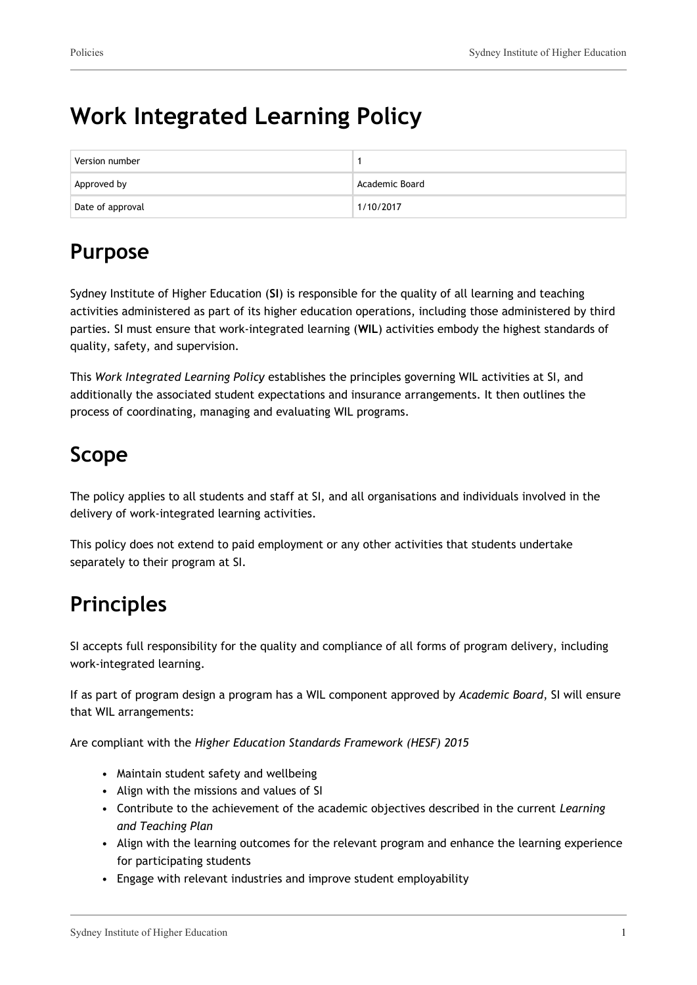# **Work Integrated Learning Policy**

| Version number   |                |
|------------------|----------------|
| Approved by      | Academic Board |
| Date of approval | 1/10/2017      |

# **Purpose**

Sydney Institute of Higher Education (**SI**) is responsible for the quality of all learning and teaching activities administered as part of its higher education operations, including those administered by third parties. SI must ensure that work-integrated learning (**WIL**) activities embody the highest standards of quality, safety, and supervision.

This *Work Integrated Learning Policy* establishes the principles governing WIL activities at SI, and additionally the associated student expectations and insurance arrangements. It then outlines the process of coordinating, managing and evaluating WIL programs.

# **Scope**

The policy applies to all students and staff at SI, and all organisations and individuals involved in the delivery of work-integrated learning activities.

This policy does not extend to paid employment or any other activities that students undertake separately to their program at SI.

# **Principles**

SI accepts full responsibility for the quality and compliance of all forms of program delivery, including work-integrated learning.

If as part of program design a program has a WIL component approved by *Academic Board*, SI will ensure that WIL arrangements:

Are compliant with the *Higher Education Standards Framework (HESF) 2015*

- Maintain student safety and wellbeing
- Align with the missions and values of SI
- Contribute to the achievement of the academic objectives described in the current *Learning and Teaching Plan*
- Align with the learning outcomes for the relevant program and enhance the learning experience for participating students
- Engage with relevant industries and improve student employability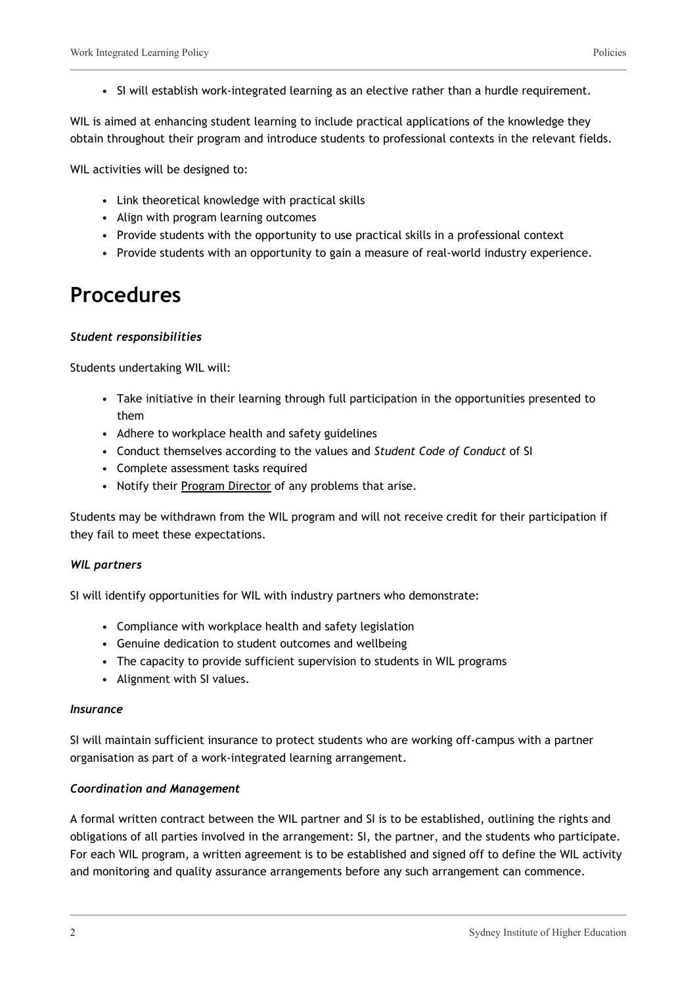• SI will establish work-integrated learning as an elective rather than a hurdle requirement.

WIL is aimed at enhancing student learning to include practical applications of the knowledge they obtain throughout their program and introduce students to professional contexts in the relevant fields.

WIL activities will be designed to:

- Link theoretical knowledge with practical skills
- Align with program learning outcomes
- Provide students with the opportunity to use practical skills in a professional context
- Provide students with an opportunity to gain a measure of real-world industry experience.

### **Procedures**

#### *Student responsibilities*

Students undertaking WIL will:

- Take initiative in their learning through full participation in the opportunities presented to them
- Adhere to workplace health and safety guidelines
- Conduct themselves according to the values and *Student Code of Conduct* of SI
- Complete assessment tasks required
- Notify their Program Director of any problems that arise.

Students may be withdrawn from the WIL program and will not receive credit for their participation if they fail to meet these expectations.

#### *WIL partners*

SI will identify opportunities for WIL with industry partners who demonstrate:

- Compliance with workplace health and safety legislation
- Genuine dedication to student outcomes and wellbeing
- The capacity to provide sufficient supervision to students in WIL programs
- Alignment with SI values.

#### *Insurance*

SI will maintain sufficient insurance to protect students who are working off-campus with a partner organisation as part of a work-integrated learning arrangement.

#### *Coordination and Management*

A formal written contract between the WIL partner and SI is to be established, outlining the rights and obligations of all parties involved in the arrangement: SI, the partner, and the students who participate. For each WIL program, a written agreement is to be established and signed off to define the WIL activity and monitoring and quality assurance arrangements before any such arrangement can commence.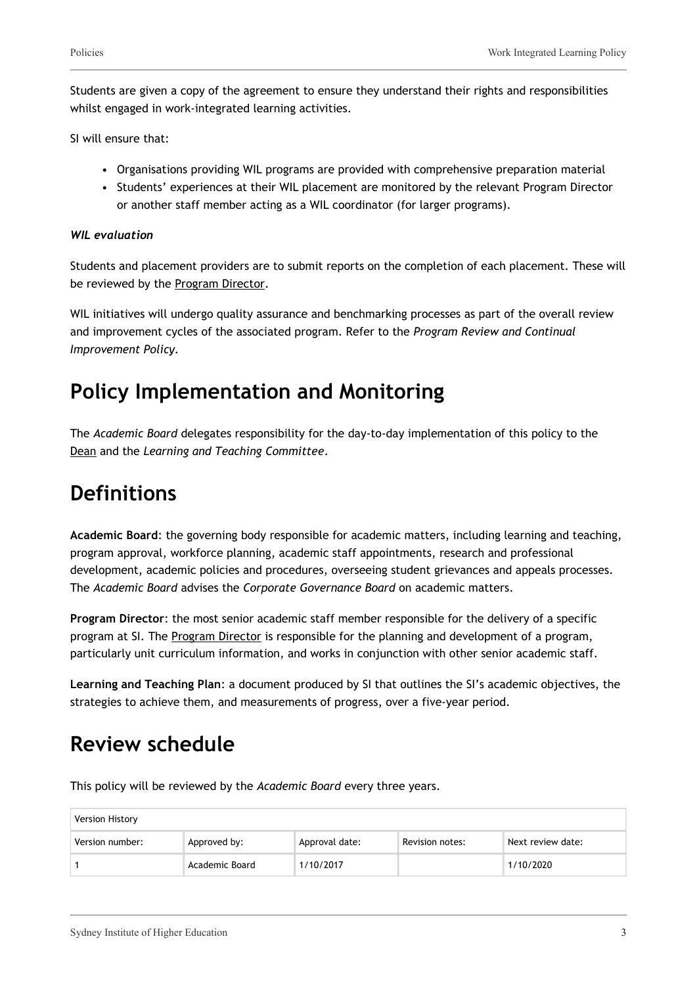Students are given a copy of the agreement to ensure they understand their rights and responsibilities whilst engaged in work-integrated learning activities.

SI will ensure that:

- Organisations providing WIL programs are provided with comprehensive preparation material
- Students' experiences at their WIL placement are monitored by the relevant Program Director or another staff member acting as a WIL coordinator (for larger programs).

#### *WIL evaluation*

Students and placement providers are to submit reports on the completion of each placement. These will be reviewed by the Program Director.

WIL initiatives will undergo quality assurance and benchmarking processes as part of the overall review and improvement cycles of the associated program. Refer to the *Program Review and Continual Improvement Policy.*

## **Policy Implementation and Monitoring**

The *Academic Board* delegates responsibility for the day-to-day implementation of this policy to the Dean and the *Learning and Teaching Committee*.

## **Definitions**

**Academic Board**: the governing body responsible for academic matters, including learning and teaching, program approval, workforce planning, academic staff appointments, research and professional development, academic policies and procedures, overseeing student grievances and appeals processes. The *Academic Board* advises the *Corporate Governance Board* on academic matters.

**Program Director**: the most senior academic staff member responsible for the delivery of a specific program at SI. The Program Director is responsible for the planning and development of a program, particularly unit curriculum information, and works in conjunction with other senior academic staff.

**Learning and Teaching Plan**: a document produced by SI that outlines the SI's academic objectives, the strategies to achieve them, and measurements of progress, over a five-year period.

### **Review schedule**

This policy will be reviewed by the *Academic Board* every three years.

| Version History |                |                |                 |                   |
|-----------------|----------------|----------------|-----------------|-------------------|
| Version number: | Approved by:   | Approval date: | Revision notes: | Next review date: |
|                 | Academic Board | 1/10/2017      |                 | 1/10/2020         |